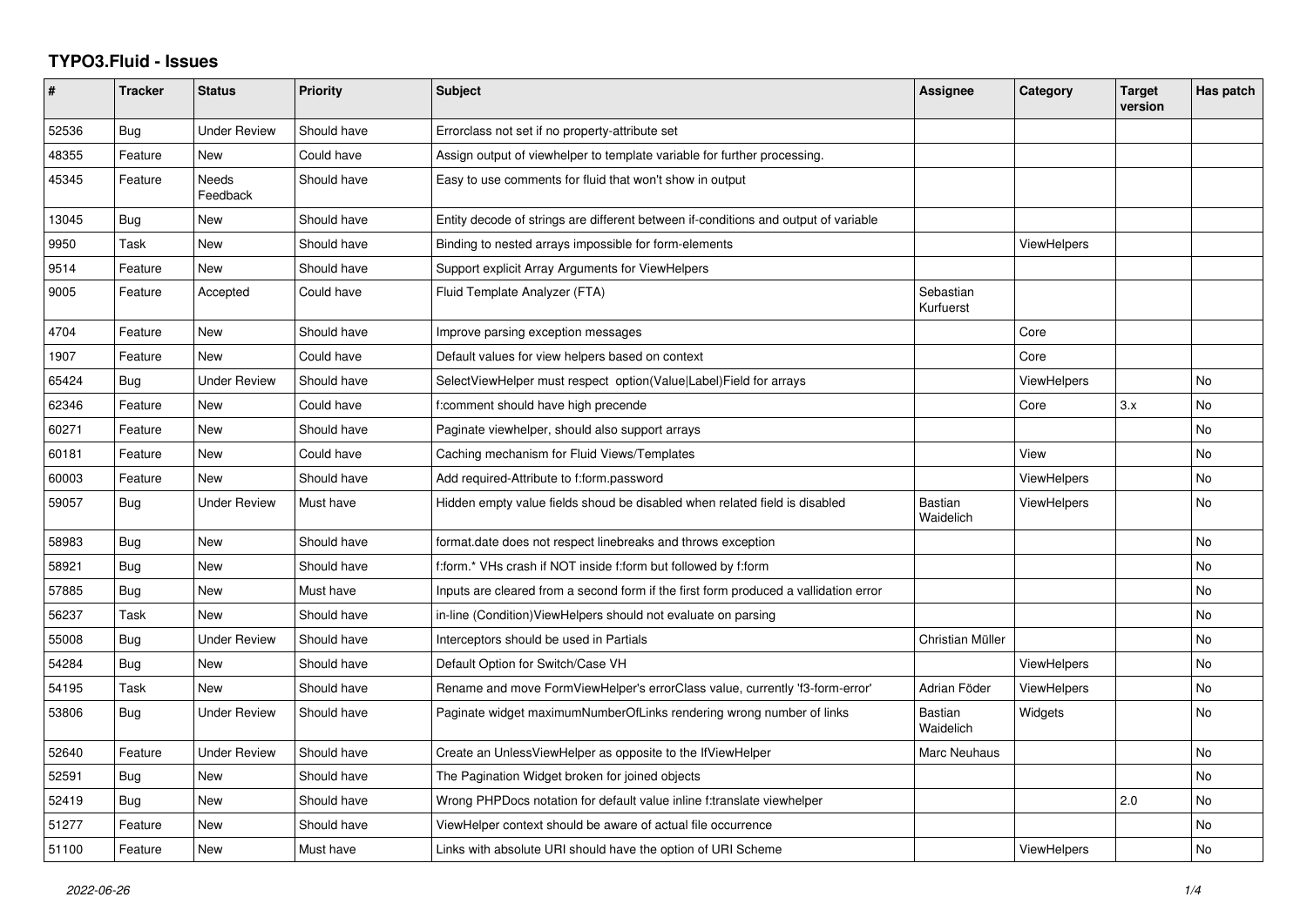## **TYPO3.Fluid - Issues**

| $\sharp$ | <b>Tracker</b> | <b>Status</b>       | <b>Priority</b> | <b>Subject</b>                                                                       | Assignee               | Category           | <b>Target</b><br>version | Has patch |
|----------|----------------|---------------------|-----------------|--------------------------------------------------------------------------------------|------------------------|--------------------|--------------------------|-----------|
| 52536    | Bug            | Under Review        | Should have     | Errorclass not set if no property-attribute set                                      |                        |                    |                          |           |
| 48355    | Feature        | <b>New</b>          | Could have      | Assign output of viewhelper to template variable for further processing.             |                        |                    |                          |           |
| 45345    | Feature        | Needs<br>Feedback   | Should have     | Easy to use comments for fluid that won't show in output                             |                        |                    |                          |           |
| 13045    | Bug            | New                 | Should have     | Entity decode of strings are different between if-conditions and output of variable  |                        |                    |                          |           |
| 9950     | Task           | New                 | Should have     | Binding to nested arrays impossible for form-elements                                |                        | <b>ViewHelpers</b> |                          |           |
| 9514     | Feature        | <b>New</b>          | Should have     | Support explicit Array Arguments for ViewHelpers                                     |                        |                    |                          |           |
| 9005     | Feature        | Accepted            | Could have      | Fluid Template Analyzer (FTA)                                                        | Sebastian<br>Kurfuerst |                    |                          |           |
| 4704     | Feature        | New                 | Should have     | Improve parsing exception messages                                                   |                        | Core               |                          |           |
| 1907     | Feature        | New                 | Could have      | Default values for view helpers based on context                                     |                        | Core               |                          |           |
| 65424    | Bug            | <b>Under Review</b> | Should have     | SelectViewHelper must respect option(Value Label)Field for arrays                    |                        | <b>ViewHelpers</b> |                          | No        |
| 62346    | Feature        | New                 | Could have      | f:comment should have high precende                                                  |                        | Core               | 3.x                      | No        |
| 60271    | Feature        | New                 | Should have     | Paginate viewhelper, should also support arrays                                      |                        |                    |                          | No        |
| 60181    | Feature        | New                 | Could have      | Caching mechanism for Fluid Views/Templates                                          |                        | View               |                          | No        |
| 60003    | Feature        | New                 | Should have     | Add required-Attribute to f:form.password                                            |                        | <b>ViewHelpers</b> |                          | No        |
| 59057    | Bug            | Under Review        | Must have       | Hidden empty value fields shoud be disabled when related field is disabled           | Bastian<br>Waidelich   | ViewHelpers        |                          | No        |
| 58983    | <b>Bug</b>     | New                 | Should have     | format.date does not respect linebreaks and throws exception                         |                        |                    |                          | <b>No</b> |
| 58921    | Bug            | New                 | Should have     | f:form.* VHs crash if NOT inside f:form but followed by f:form                       |                        |                    |                          | <b>No</b> |
| 57885    | Bug            | <b>New</b>          | Must have       | Inputs are cleared from a second form if the first form produced a vallidation error |                        |                    |                          | No        |
| 56237    | Task           | New                 | Should have     | in-line (Condition) View Helpers should not evaluate on parsing                      |                        |                    |                          | <b>No</b> |
| 55008    | Bug            | Under Review        | Should have     | Interceptors should be used in Partials                                              | Christian Müller       |                    |                          | No        |
| 54284    | <b>Bug</b>     | New                 | Should have     | Default Option for Switch/Case VH                                                    |                        | <b>ViewHelpers</b> |                          | No.       |
| 54195    | Task           | New                 | Should have     | Rename and move FormViewHelper's errorClass value, currently 'f3-form-error'         | Adrian Föder           | <b>ViewHelpers</b> |                          | <b>No</b> |
| 53806    | Bug            | Under Review        | Should have     | Paginate widget maximumNumberOfLinks rendering wrong number of links                 | Bastian<br>Waidelich   | Widgets            |                          | No        |
| 52640    | Feature        | Under Review        | Should have     | Create an UnlessViewHelper as opposite to the IfViewHelper                           | Marc Neuhaus           |                    |                          | No        |
| 52591    | <b>Bug</b>     | New                 | Should have     | The Pagination Widget broken for joined objects                                      |                        |                    |                          | <b>No</b> |
| 52419    | Bug            | New                 | Should have     | Wrong PHPDocs notation for default value inline f:translate viewhelper               |                        |                    | 2.0                      | No        |
| 51277    | Feature        | New                 | Should have     | ViewHelper context should be aware of actual file occurrence                         |                        |                    |                          | No        |
| 51100    | Feature        | <b>New</b>          | Must have       | Links with absolute URI should have the option of URI Scheme                         |                        | <b>ViewHelpers</b> |                          | No        |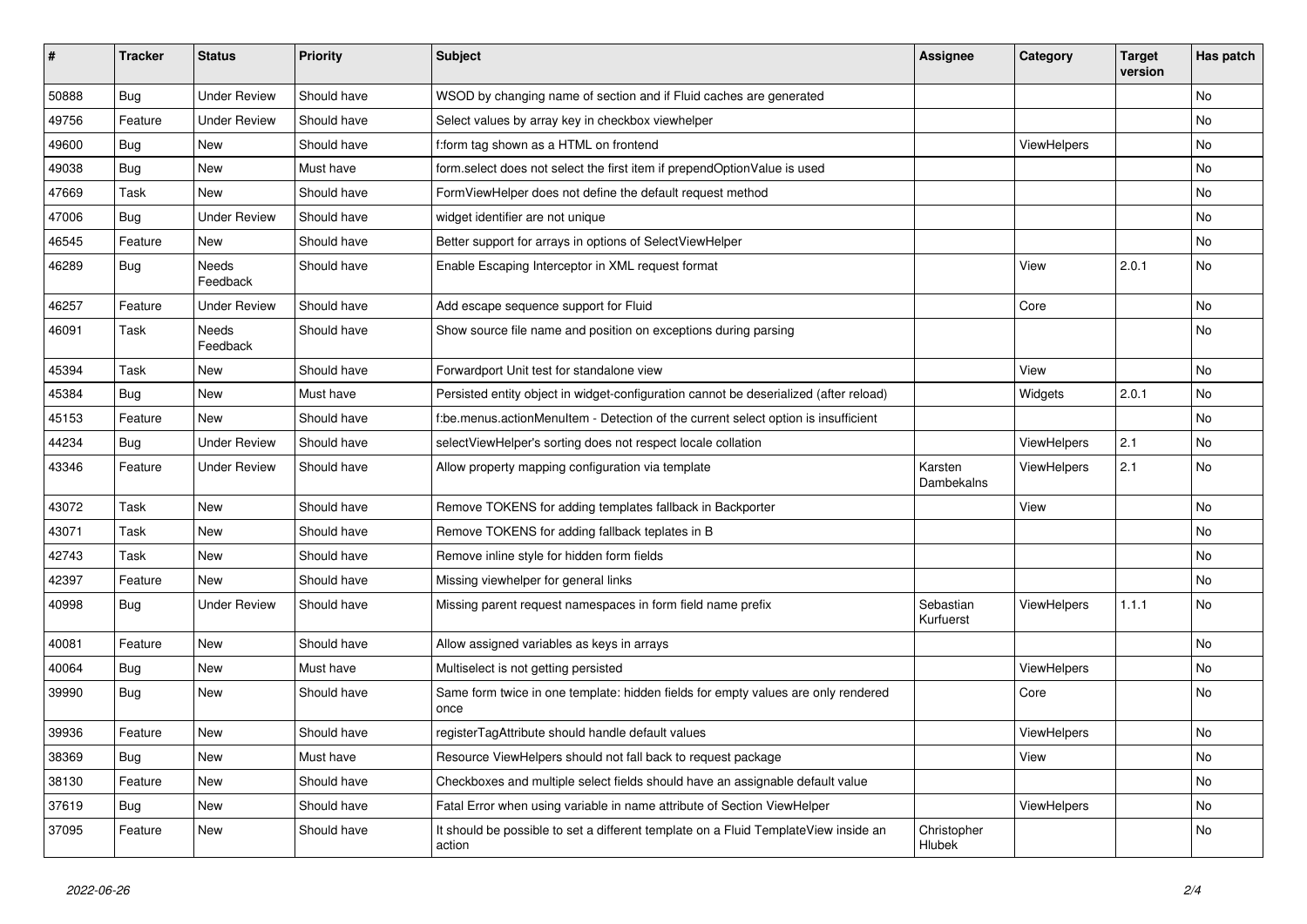| ∦     | <b>Tracker</b> | <b>Status</b>            | <b>Priority</b> | Subject                                                                                       | Assignee               | Category    | <b>Target</b><br>version | Has patch |
|-------|----------------|--------------------------|-----------------|-----------------------------------------------------------------------------------------------|------------------------|-------------|--------------------------|-----------|
| 50888 | Bug            | <b>Under Review</b>      | Should have     | WSOD by changing name of section and if Fluid caches are generated                            |                        |             |                          | No        |
| 49756 | Feature        | Under Review             | Should have     | Select values by array key in checkbox viewhelper                                             |                        |             |                          | No        |
| 49600 | <b>Bug</b>     | New                      | Should have     | f:form tag shown as a HTML on frontend                                                        |                        | ViewHelpers |                          | No        |
| 49038 | Bug            | New                      | Must have       | form.select does not select the first item if prependOptionValue is used                      |                        |             |                          | No        |
| 47669 | Task           | New                      | Should have     | FormViewHelper does not define the default request method                                     |                        |             |                          | No        |
| 47006 | Bug            | <b>Under Review</b>      | Should have     | widget identifier are not unique                                                              |                        |             |                          | No        |
| 46545 | Feature        | New                      | Should have     | Better support for arrays in options of SelectViewHelper                                      |                        |             |                          | No        |
| 46289 | <b>Bug</b>     | Needs<br>Feedback        | Should have     | Enable Escaping Interceptor in XML request format                                             |                        | View        | 2.0.1                    | No        |
| 46257 | Feature        | Under Review             | Should have     | Add escape sequence support for Fluid                                                         |                        | Core        |                          | No        |
| 46091 | Task           | <b>Needs</b><br>Feedback | Should have     | Show source file name and position on exceptions during parsing                               |                        |             |                          | No        |
| 45394 | Task           | New                      | Should have     | Forwardport Unit test for standalone view                                                     |                        | View        |                          | No        |
| 45384 | <b>Bug</b>     | <b>New</b>               | Must have       | Persisted entity object in widget-configuration cannot be deserialized (after reload)         |                        | Widgets     | 2.0.1                    | <b>No</b> |
| 45153 | Feature        | New                      | Should have     | f:be.menus.actionMenuItem - Detection of the current select option is insufficient            |                        |             |                          | No        |
| 44234 | <b>Bug</b>     | <b>Under Review</b>      | Should have     | selectViewHelper's sorting does not respect locale collation                                  |                        | ViewHelpers | 2.1                      | No        |
| 43346 | Feature        | <b>Under Review</b>      | Should have     | Allow property mapping configuration via template                                             | Karsten<br>Dambekalns  | ViewHelpers | 2.1                      | No        |
| 43072 | Task           | New                      | Should have     | Remove TOKENS for adding templates fallback in Backporter                                     |                        | View        |                          | No        |
| 43071 | Task           | New                      | Should have     | Remove TOKENS for adding fallback teplates in B                                               |                        |             |                          | No        |
| 42743 | Task           | New                      | Should have     | Remove inline style for hidden form fields                                                    |                        |             |                          | No        |
| 42397 | Feature        | New                      | Should have     | Missing viewhelper for general links                                                          |                        |             |                          | No        |
| 40998 | <b>Bug</b>     | <b>Under Review</b>      | Should have     | Missing parent request namespaces in form field name prefix                                   | Sebastian<br>Kurfuerst | ViewHelpers | 1.1.1                    | No        |
| 40081 | Feature        | New                      | Should have     | Allow assigned variables as keys in arrays                                                    |                        |             |                          | No        |
| 40064 | <b>Bug</b>     | New                      | Must have       | Multiselect is not getting persisted                                                          |                        | ViewHelpers |                          | No        |
| 39990 | <b>Bug</b>     | New                      | Should have     | Same form twice in one template: hidden fields for empty values are only rendered<br>once     |                        | Core        |                          | No        |
| 39936 | Feature        | New                      | Should have     | registerTagAttribute should handle default values                                             |                        | ViewHelpers |                          | No        |
| 38369 | Bug            | New                      | Must have       | Resource ViewHelpers should not fall back to request package                                  |                        | View        |                          | No        |
| 38130 | Feature        | New                      | Should have     | Checkboxes and multiple select fields should have an assignable default value                 |                        |             |                          | No        |
| 37619 | Bug            | New                      | Should have     | Fatal Error when using variable in name attribute of Section ViewHelper                       |                        | ViewHelpers |                          | No        |
| 37095 | Feature        | New                      | Should have     | It should be possible to set a different template on a Fluid TemplateView inside an<br>action | Christopher<br>Hlubek  |             |                          | No        |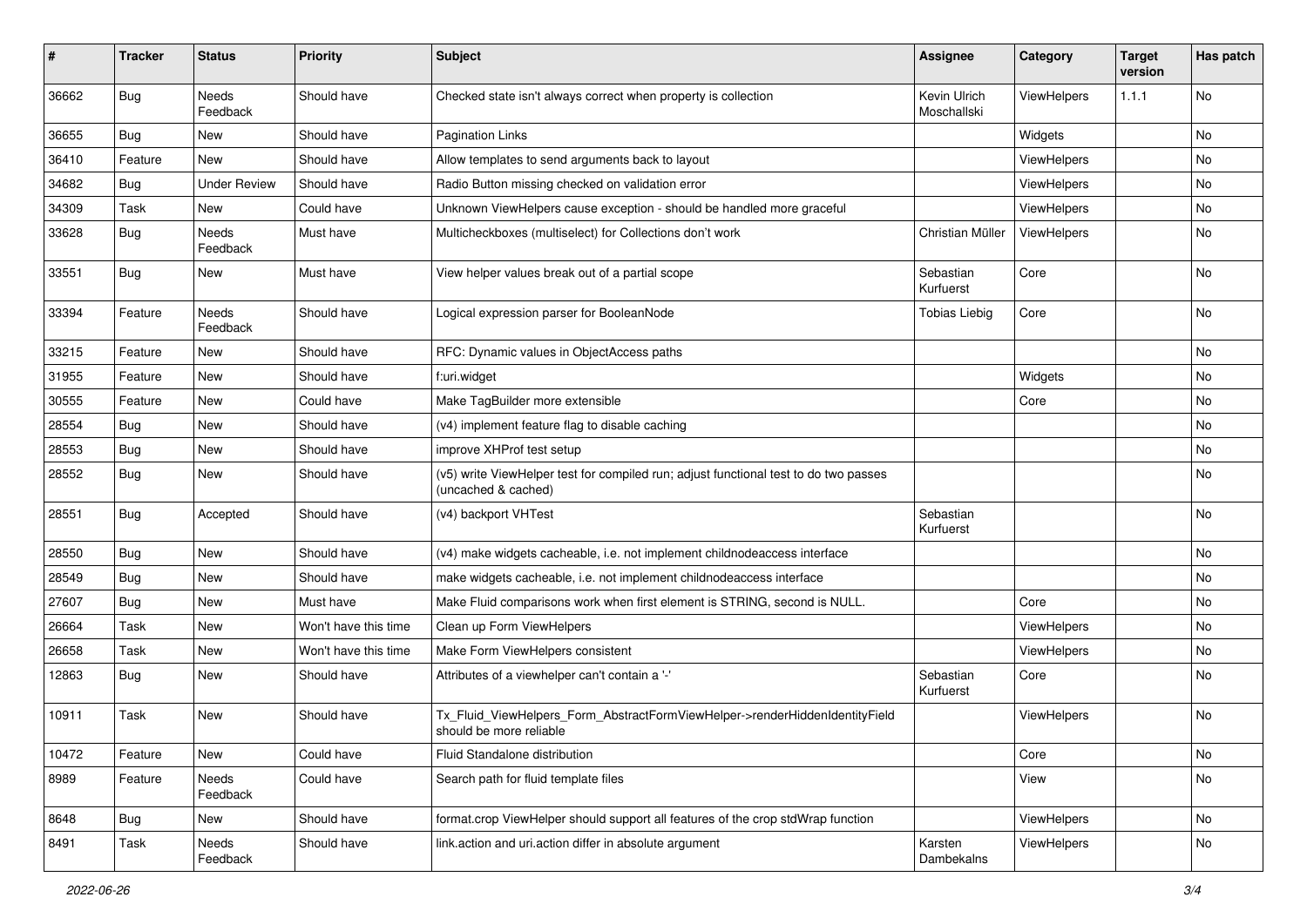| #     | <b>Tracker</b> | <b>Status</b>            | <b>Priority</b>      | <b>Subject</b>                                                                                              | <b>Assignee</b>             | Category           | <b>Target</b><br>version | Has patch |
|-------|----------------|--------------------------|----------------------|-------------------------------------------------------------------------------------------------------------|-----------------------------|--------------------|--------------------------|-----------|
| 36662 | Bug            | <b>Needs</b><br>Feedback | Should have          | Checked state isn't always correct when property is collection                                              | Kevin Ulrich<br>Moschallski | ViewHelpers        | 1.1.1                    | No        |
| 36655 | Bug            | New                      | Should have          | <b>Pagination Links</b>                                                                                     |                             | Widgets            |                          | No        |
| 36410 | Feature        | <b>New</b>               | Should have          | Allow templates to send arguments back to layout                                                            |                             | ViewHelpers        |                          | No        |
| 34682 | Bug            | <b>Under Review</b>      | Should have          | Radio Button missing checked on validation error                                                            |                             | <b>ViewHelpers</b> |                          | No        |
| 34309 | Task           | New                      | Could have           | Unknown ViewHelpers cause exception - should be handled more graceful                                       |                             | ViewHelpers        |                          | No        |
| 33628 | Bug            | Needs<br>Feedback        | Must have            | Multicheckboxes (multiselect) for Collections don't work                                                    | Christian Müller            | ViewHelpers        |                          | No        |
| 33551 | <b>Bug</b>     | New                      | Must have            | View helper values break out of a partial scope                                                             | Sebastian<br>Kurfuerst      | Core               |                          | No        |
| 33394 | Feature        | Needs<br>Feedback        | Should have          | Logical expression parser for BooleanNode                                                                   | <b>Tobias Liebig</b>        | Core               |                          | No        |
| 33215 | Feature        | New                      | Should have          | RFC: Dynamic values in ObjectAccess paths                                                                   |                             |                    |                          | No        |
| 31955 | Feature        | New                      | Should have          | f:uri.widget                                                                                                |                             | Widgets            |                          | No        |
| 30555 | Feature        | New                      | Could have           | Make TagBuilder more extensible                                                                             |                             | Core               |                          | No        |
| 28554 | Bug            | New                      | Should have          | (v4) implement feature flag to disable caching                                                              |                             |                    |                          | No        |
| 28553 | Bug            | New                      | Should have          | improve XHProf test setup                                                                                   |                             |                    |                          | No        |
| 28552 | Bug            | New                      | Should have          | (v5) write ViewHelper test for compiled run; adjust functional test to do two passes<br>(uncached & cached) |                             |                    |                          | No        |
| 28551 | Bug            | Accepted                 | Should have          | (v4) backport VHTest                                                                                        | Sebastian<br>Kurfuerst      |                    |                          | No        |
| 28550 | Bug            | New                      | Should have          | (v4) make widgets cacheable, i.e. not implement childnodeaccess interface                                   |                             |                    |                          | No        |
| 28549 | Bug            | New                      | Should have          | make widgets cacheable, i.e. not implement childnodeaccess interface                                        |                             |                    |                          | No        |
| 27607 | Bug            | New                      | Must have            | Make Fluid comparisons work when first element is STRING, second is NULL.                                   |                             | Core               |                          | No        |
| 26664 | Task           | New                      | Won't have this time | Clean up Form ViewHelpers                                                                                   |                             | ViewHelpers        |                          | No        |
| 26658 | Task           | New                      | Won't have this time | Make Form ViewHelpers consistent                                                                            |                             | ViewHelpers        |                          | No        |
| 12863 | <b>Bug</b>     | New                      | Should have          | Attributes of a viewhelper can't contain a '-'                                                              | Sebastian<br>Kurfuerst      | Core               |                          | No        |
| 10911 | Task           | New                      | Should have          | Tx_Fluid_ViewHelpers_Form_AbstractFormViewHelper->renderHiddenIdentityField<br>should be more reliable      |                             | ViewHelpers        |                          | No        |
| 10472 | Feature        | New                      | Could have           | Fluid Standalone distribution                                                                               |                             | Core               |                          | No        |
| 8989  | Feature        | Needs<br>Feedback        | Could have           | Search path for fluid template files                                                                        |                             | View               |                          | No        |
| 8648  | <b>Bug</b>     | New                      | Should have          | format.crop ViewHelper should support all features of the crop stdWrap function                             |                             | ViewHelpers        |                          | No        |
| 8491  | Task           | Needs<br>Feedback        | Should have          | link.action and uri.action differ in absolute argument                                                      | Karsten<br>Dambekalns       | ViewHelpers        |                          | No        |